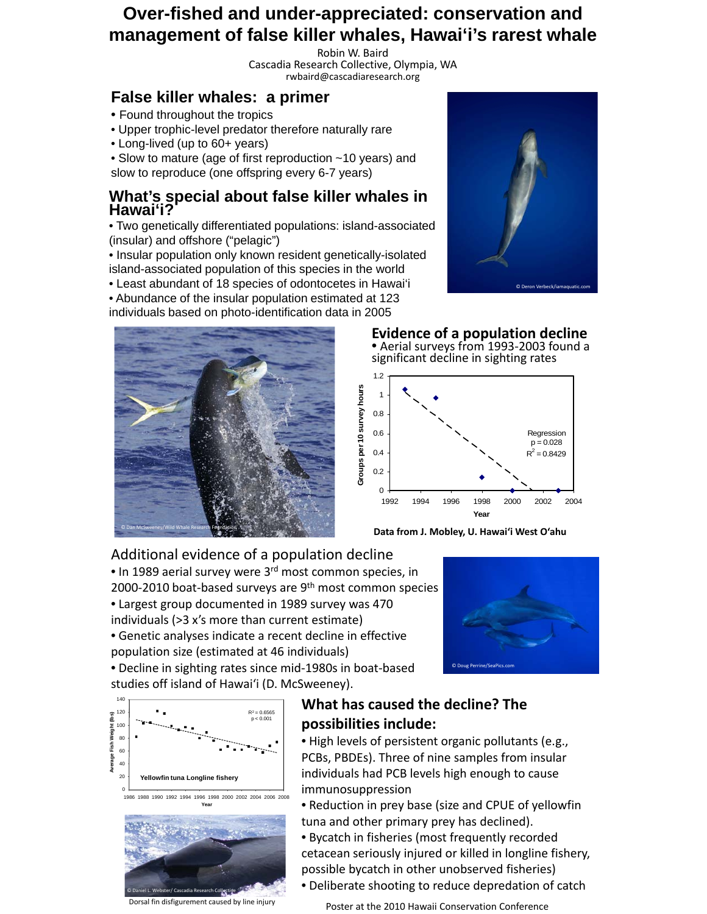# **Over-fished and under-appreciated: conservation and management of false killer whales, Hawai'i's rarest whale**

Robin W. Baird Cascadia Research Collective, Olympia, WA rwbaird@cascadiaresearch.org

## **False killer whales: a primer**

- Found throughout the tropics Found throughout the
- Upper trophic-level predator therefore naturally rare
- Long-lived (up to 60+ years)

• Slow to mature (age of first reproduction ~10 years) and slow to reproduce (one offspring every 6-7 years)

### **What's special about false killer whales in Hawai'i?**

• Two genetically differentiated populations: island-associated Two genetically differentiated populations: island associated (insular) and offshore ("pelagic")

• Insular population only known resident genetically-isolated island-associated population of this species in the world

- Least abundant of 18 species of odontocetes in Hawai'i
- Abundance of the insular population estimated at 123

individuals based on photo-identification data in 2005





#### **Evidence of a population decline** • Aerial surveys from 1993-2003 found a significant decline in sighting rates



**Data from J. Mobley, U. Hawai'i West O'ahu**

Additional evidence of a population decline

• In 1989 aerial survey were 3<sup>rd</sup> most common species, in

- 2000-2010 boat-based surveys are 9<sup>th</sup> most common species • Largest group documented in 1989 survey was 470
- individuals (>3 x's more than current estimate)

• Genetic analyses indicate a recent decline in effective population size (estimated at 46 individuals)

• Decline in sighting rates since mid‐1980s in boat‐based studies off island of Hawai'i (D. McSweeney).





Dorsal fin disfigurement caused by line injury

### **What has caused the decline? The possibilities include:**

• High levels of persistent organic pollutants (e.g., PCBs, PBDEs). Three of nine samples from insular individuals had PCB levels high enough to cause immunosuppression

• Reduction in prey base (size and CPUE of yellowfin tuna and other primary prey has declined).

• Bycatch in fisheries (most frequently recorded cetacean seriously injured or killed in longline fishery, possible bycatch in other unobserved fisheries)

• Deliberate shooting to reduce depredation of catch

Poster at the 2010 Hawaii Conservation Conference